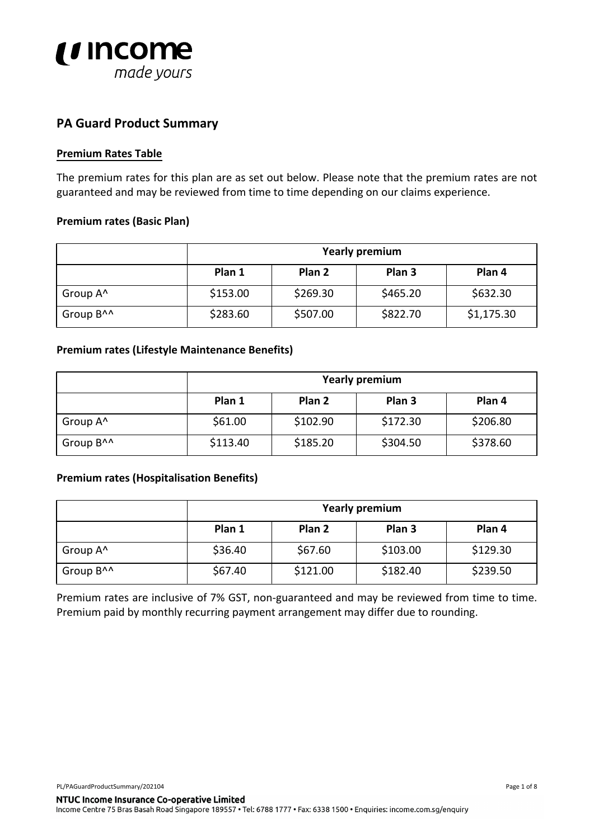

## **PA Guard Product Summary**

#### **Premium Rates Table**

The premium rates for this plan are as set out below. Please note that the premium rates are not guaranteed and may be reviewed from time to time depending on our claims experience.

#### **Premium rates (Basic Plan)**

|                       | <b>Yearly premium</b> |          |                   |            |  |
|-----------------------|-----------------------|----------|-------------------|------------|--|
|                       | Plan 1                | Plan 2   | Plan <sub>3</sub> | Plan 4     |  |
| Group A <sup>^</sup>  | \$153.00              | \$269.30 | \$465.20          | \$632.30   |  |
| Group B <sup>^^</sup> | \$283.60              | \$507.00 | \$822.70          | \$1,175.30 |  |

#### **Premium rates (Lifestyle Maintenance Benefits)**

|                       | <b>Yearly premium</b> |                   |                   |          |
|-----------------------|-----------------------|-------------------|-------------------|----------|
|                       | Plan 1                | Plan <sub>2</sub> | Plan <sub>3</sub> | Plan 4   |
| Group A <sup>^</sup>  | \$61.00               | \$102.90          | \$172.30          | \$206.80 |
| Group B <sup>^^</sup> | \$113.40              | \$185.20          | \$304.50          | \$378.60 |

#### **Premium rates (Hospitalisation Benefits)**

|                       | <b>Yearly premium</b> |          |                   |          |  |
|-----------------------|-----------------------|----------|-------------------|----------|--|
|                       | Plan 1                | Plan 2   | Plan <sub>3</sub> | Plan 4   |  |
| Group A <sup>^</sup>  | \$36.40               | \$67.60  | \$103.00          | \$129.30 |  |
| Group B <sup>^^</sup> | \$67.40               | \$121.00 | \$182.40          | \$239.50 |  |

Premium rates are inclusive of 7% GST, non-guaranteed and may be reviewed from time to time. Premium paid by monthly recurring payment arrangement may differ due to rounding.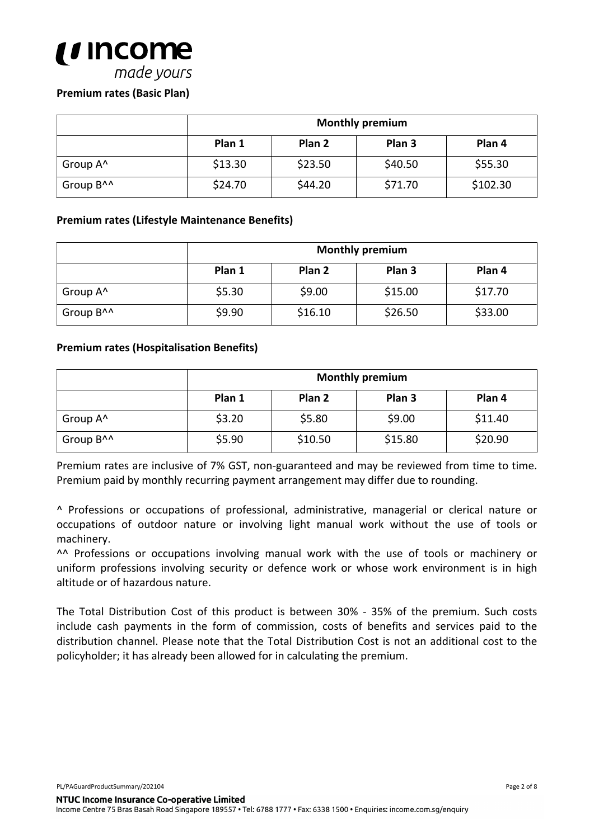

## **Premium rates (Basic Plan)**

|                       | <b>Monthly premium</b>                                     |         |         |          |  |  |
|-----------------------|------------------------------------------------------------|---------|---------|----------|--|--|
|                       | Plan <sub>3</sub><br>Plan <sub>4</sub><br>Plan 2<br>Plan 1 |         |         |          |  |  |
| Group A <sup>^</sup>  | \$13.30                                                    | \$23.50 | \$40.50 | \$55.30  |  |  |
| Group B <sup>^^</sup> | \$24.70                                                    | \$44.20 | \$71.70 | \$102.30 |  |  |

#### **Premium rates (Lifestyle Maintenance Benefits)**

|                       | <b>Monthly premium</b>                          |         |         |         |  |  |
|-----------------------|-------------------------------------------------|---------|---------|---------|--|--|
|                       | Plan 1<br>Plan <sub>3</sub><br>Plan 2<br>Plan 4 |         |         |         |  |  |
| Group A <sup>^</sup>  | \$5.30                                          | \$9.00  | \$15.00 | \$17.70 |  |  |
| Group B <sup>^^</sup> | \$9.90                                          | \$16.10 | \$26.50 | \$33.00 |  |  |

#### **Premium rates (Hospitalisation Benefits)**

|                       | <b>Monthly premium</b> |         |         |         |  |
|-----------------------|------------------------|---------|---------|---------|--|
|                       | Plan 1                 | Plan 4  |         |         |  |
| Group A <sup>^</sup>  | \$3.20                 | \$5.80  | \$9.00  | \$11.40 |  |
| Group B <sup>^^</sup> | \$5.90                 | \$10.50 | \$15.80 | \$20.90 |  |

Premium rates are inclusive of 7% GST, non-guaranteed and may be reviewed from time to time. Premium paid by monthly recurring payment arrangement may differ due to rounding.

^ Professions or occupations of professional, administrative, managerial or clerical nature or occupations of outdoor nature or involving light manual work without the use of tools or machinery.

^^ Professions or occupations involving manual work with the use of tools or machinery or uniform professions involving security or defence work or whose work environment is in high altitude or of hazardous nature.

The Total Distribution Cost of this product is between 30% - 35% of the premium. Such costs include cash payments in the form of commission, costs of benefits and services paid to the distribution channel. Please note that the Total Distribution Cost is not an additional cost to the policyholder; it has already been allowed for in calculating the premium.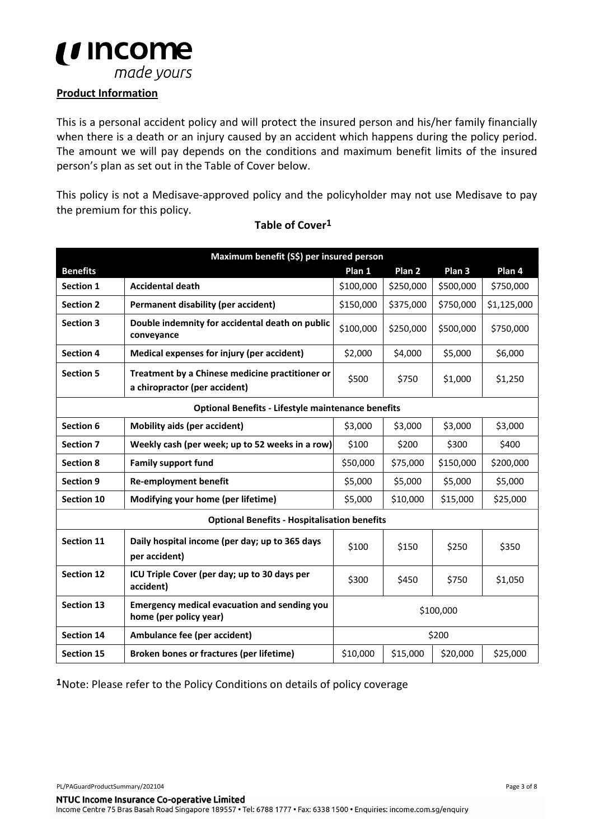

## **Product Information**

This is a personal accident policy and will protect the insured person and his/her family financially when there is a death or an injury caused by an accident which happens during the policy period. The amount we will pay depends on the conditions and maximum benefit limits of the insured person's plan as set out in the Table of Cover below.

This policy is not a Medisave-approved policy and the policyholder may not use Medisave to pay the premium for this policy.

|                   | Maximum benefit (S\$) per insured person                                         |           |                   |           |             |
|-------------------|----------------------------------------------------------------------------------|-----------|-------------------|-----------|-------------|
| <b>Benefits</b>   |                                                                                  | Plan 1    | Plan <sub>2</sub> | Plan 3    | Plan 4      |
| Section 1         | <b>Accidental death</b>                                                          | \$100,000 | \$250,000         | \$500,000 | \$750,000   |
| <b>Section 2</b>  | Permanent disability (per accident)                                              | \$150,000 | \$375,000         | \$750,000 | \$1,125,000 |
| <b>Section 3</b>  | Double indemnity for accidental death on public<br>conveyance                    | \$100,000 | \$250,000         | \$500,000 | \$750,000   |
| <b>Section 4</b>  | Medical expenses for injury (per accident)                                       | \$2,000   | \$4,000           | \$5,000   | \$6,000     |
| <b>Section 5</b>  | Treatment by a Chinese medicine practitioner or<br>a chiropractor (per accident) | \$500     | \$750             | \$1,000   | \$1,250     |
|                   | <b>Optional Benefits - Lifestyle maintenance benefits</b>                        |           |                   |           |             |
| Section 6         | <b>Mobility aids (per accident)</b>                                              | \$3,000   | \$3,000           | \$3,000   | \$3,000     |
| <b>Section 7</b>  | Weekly cash (per week; up to 52 weeks in a row)                                  | \$100     | \$200             | \$300     | \$400       |
| <b>Section 8</b>  | <b>Family support fund</b>                                                       | \$50,000  | \$75,000          | \$150,000 | \$200,000   |
| <b>Section 9</b>  | <b>Re-employment benefit</b>                                                     | \$5,000   | \$5,000           | \$5,000   | \$5,000     |
| Section 10        | Modifying your home (per lifetime)                                               | \$5,000   | \$10,000          | \$15,000  | \$25,000    |
|                   | <b>Optional Benefits - Hospitalisation benefits</b>                              |           |                   |           |             |
| <b>Section 11</b> | Daily hospital income (per day; up to 365 days<br>per accident)                  | \$100     | \$150             | \$250     | \$350       |
| <b>Section 12</b> | ICU Triple Cover (per day; up to 30 days per<br>accident)                        | \$300     | \$450             | \$750     | \$1,050     |
| <b>Section 13</b> | <b>Emergency medical evacuation and sending you</b><br>home (per policy year)    | \$100,000 |                   |           |             |
| <b>Section 14</b> | Ambulance fee (per accident)                                                     | \$200     |                   |           |             |
| Section 15        | Broken bones or fractures (per lifetime)                                         | \$10,000  | \$15,000          | \$20,000  | \$25,000    |

#### **Table of Cover1**

**1**Note: Please refer to the Policy Conditions on details of policy coverage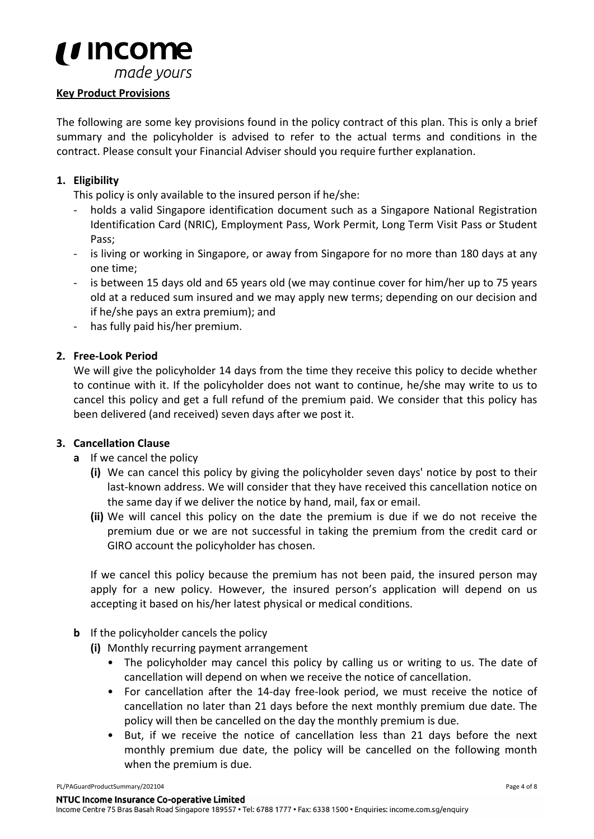

# **Key Product Provisions**

The following are some key provisions found in the policy contract of this plan. This is only a brief summary and the policyholder is advised to refer to the actual terms and conditions in the contract. Please consult your Financial Adviser should you require further explanation.

## **1. Eligibility**

This policy is only available to the insured person if he/she:

- holds a valid Singapore identification document such as a Singapore National Registration Identification Card (NRIC), Employment Pass, Work Permit, Long Term Visit Pass or Student Pass;
- is living or working in Singapore, or away from Singapore for no more than 180 days at any one time;
- is between 15 days old and 65 years old (we may continue cover for him/her up to 75 years old at a reduced sum insured and we may apply new terms; depending on our decision and if he/she pays an extra premium); and
- has fully paid his/her premium.

## **2. Free-Look Period**

We will give the policyholder 14 days from the time they receive this policy to decide whether to continue with it. If the policyholder does not want to continue, he/she may write to us to cancel this policy and get a full refund of the premium paid. We consider that this policy has been delivered (and received) seven days after we post it.

## **3. Cancellation Clause**

- **a** If we cancel the policy
	- **(i)** We can cancel this policy by giving the policyholder seven days' notice by post to their last-known address. We will consider that they have received this cancellation notice on the same day if we deliver the notice by hand, mail, fax or email.
	- **(ii)** We will cancel this policy on the date the premium is due if we do not receive the premium due or we are not successful in taking the premium from the credit card or GIRO account the policyholder has chosen.

If we cancel this policy because the premium has not been paid, the insured person may apply for a new policy. However, the insured person's application will depend on us accepting it based on his/her latest physical or medical conditions.

## **b** If the policyholder cancels the policy

**(i)** Monthly recurring payment arrangement

- The policyholder may cancel this policy by calling us or writing to us. The date of cancellation will depend on when we receive the notice of cancellation.
- For cancellation after the 14-day free-look period, we must receive the notice of cancellation no later than 21 days before the next monthly premium due date. The policy will then be cancelled on the day the monthly premium is due.
- But, if we receive the notice of cancellation less than 21 days before the next monthly premium due date, the policy will be cancelled on the following month when the premium is due.

PL/PAGuardProductSummary/202104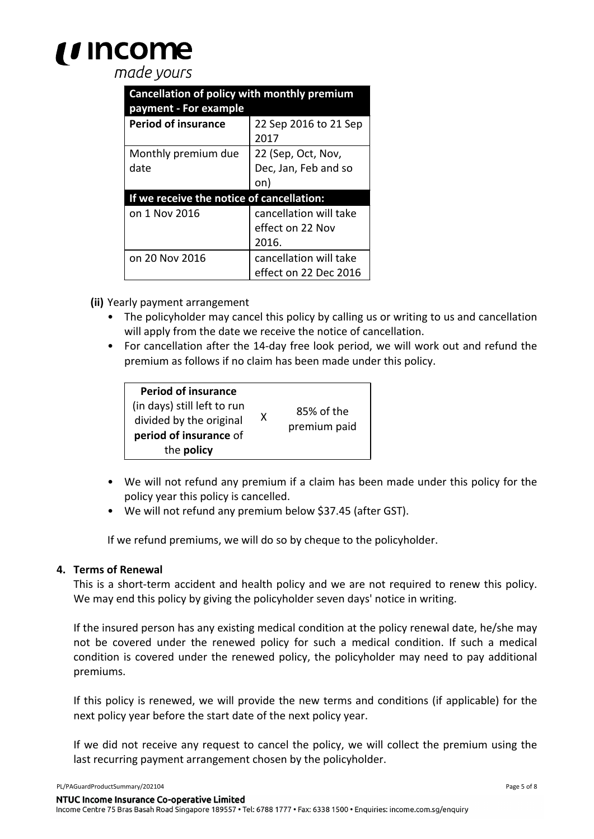# ' Income

# made vours

| Cancellation of policy with monthly premium<br>payment - For example |                                                     |  |  |  |
|----------------------------------------------------------------------|-----------------------------------------------------|--|--|--|
| <b>Period of insurance</b>                                           | 22 Sep 2016 to 21 Sep<br>2017                       |  |  |  |
| Monthly premium due<br>date                                          | 22 (Sep, Oct, Nov,<br>Dec, Jan, Feb and so<br>on)   |  |  |  |
| If we receive the notice of cancellation:                            |                                                     |  |  |  |
| on 1 Nov 2016                                                        | cancellation will take<br>effect on 22 Nov<br>2016. |  |  |  |
| on 20 Nov 2016                                                       | cancellation will take<br>effect on 22 Dec 2016     |  |  |  |

**(ii)** Yearly payment arrangement

- The policyholder may cancel this policy by calling us or writing to us and cancellation will apply from the date we receive the notice of cancellation.
- For cancellation after the 14-day free look period, we will work out and refund the premium as follows if no claim has been made under this policy.

| <b>Period of insurance</b><br>(in days) still left to run<br>divided by the original<br>period of insurance of<br>the policy | x | 85% of the<br>premium paid |
|------------------------------------------------------------------------------------------------------------------------------|---|----------------------------|

- We will not refund any premium if a claim has been made under this policy for the policy year this policy is cancelled.
- We will not refund any premium below \$37.45 (after GST).

If we refund premiums, we will do so by cheque to the policyholder.

#### **4. Terms of Renewal**

This is a short-term accident and health policy and we are not required to renew this policy. We may end this policy by giving the policyholder seven days' notice in writing.

If the insured person has any existing medical condition at the policy renewal date, he/she may not be covered under the renewed policy for such a medical condition. If such a medical condition is covered under the renewed policy, the policyholder may need to pay additional premiums.

If this policy is renewed, we will provide the new terms and conditions (if applicable) for the next policy year before the start date of the next policy year.

If we did not receive any request to cancel the policy, we will collect the premium using the last recurring payment arrangement chosen by the policyholder.

PL/PAGuardProductSummary/202104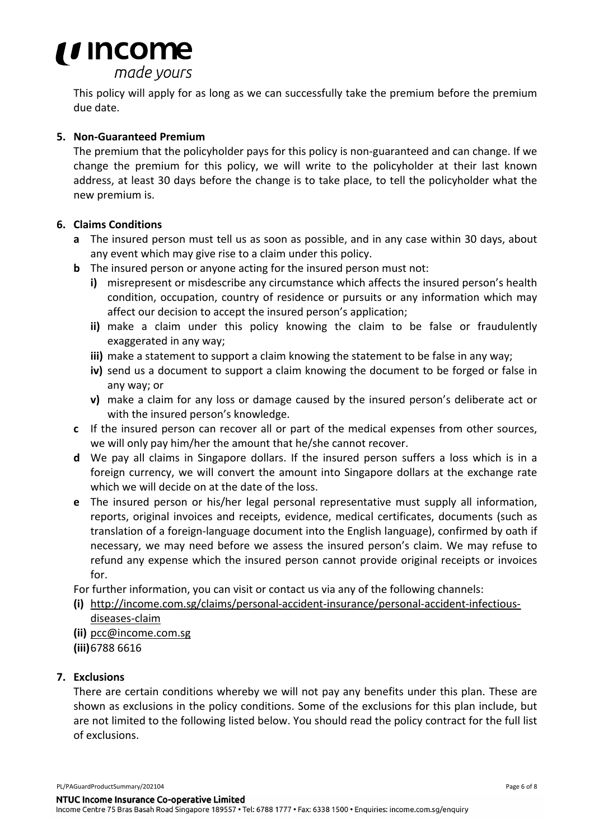

This policy will apply for as long as we can successfully take the premium before the premium due date.

### **5. Non-Guaranteed Premium**

The premium that the policyholder pays for this policy is non-guaranteed and can change. If we change the premium for this policy, we will write to the policyholder at their last known address, at least 30 days before the change is to take place, to tell the policyholder what the new premium is.

### **6. Claims Conditions**

- **a** The insured person must tell us as soon as possible, and in any case within 30 days, about any event which may give rise to a claim under this policy.
- **b** The insured person or anyone acting for the insured person must not:
	- **i)** misrepresent or misdescribe any circumstance which affects the insured person's health condition, occupation, country of residence or pursuits or any information which may affect our decision to accept the insured person's application;
	- **ii)** make a claim under this policy knowing the claim to be false or fraudulently exaggerated in any way;
	- **iii)** make a statement to support a claim knowing the statement to be false in any way;
	- **iv)** send us a document to support a claim knowing the document to be forged or false in any way; or
	- **v)** make a claim for any loss or damage caused by the insured person's deliberate act or with the insured person's knowledge.
- **c** If the insured person can recover all or part of the medical expenses from other sources, we will only pay him/her the amount that he/she cannot recover.
- **d** We pay all claims in Singapore dollars. If the insured person suffers a loss which is in a foreign currency, we will convert the amount into Singapore dollars at the exchange rate which we will decide on at the date of the loss.
- **e** The insured person or his/her legal personal representative must supply all information, reports, original invoices and receipts, evidence, medical certificates, documents (such as translation of a foreign-language document into the English language), confirmed by oath if necessary, we may need before we assess the insured person's claim. We may refuse to refund any expense which the insured person cannot provide original receipts or invoices for.

For further information, you can visit or contact us via any of the following channels:

**(i)** http://income.com.sg/claims/personal-accident-insurance/personal-accident-infectiousdiseases-claim

**(ii)** pcc@income.com.sg

**(iii)**6788 6616

## **7. Exclusions**

There are certain conditions whereby we will not pay any benefits under this plan. These are shown as exclusions in the policy conditions. Some of the exclusions for this plan include, but are not limited to the following listed below. You should read the policy contract for the full list of exclusions.

PL/PAGuardProductSummary/202104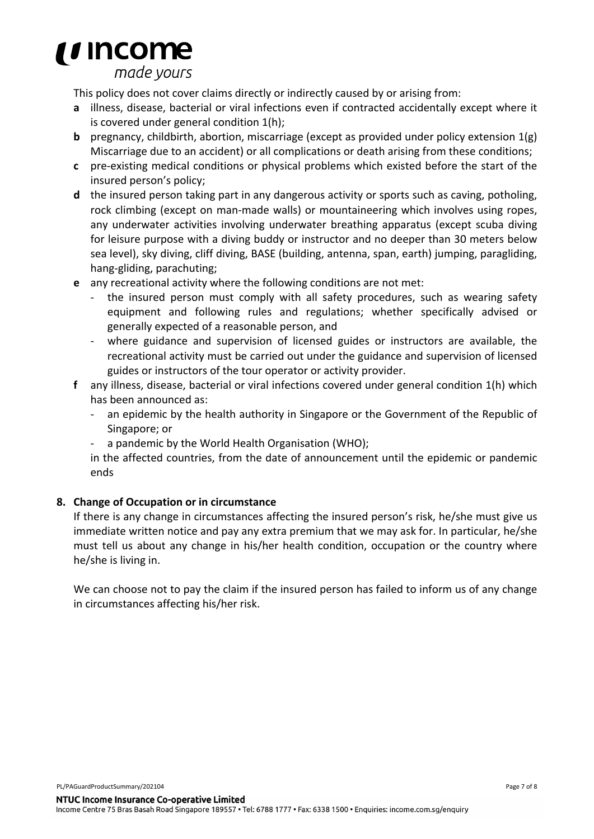

made vours

This policy does not cover claims directly or indirectly caused by or arising from:

- **a** illness, disease, bacterial or viral infections even if contracted accidentally except where it is covered under general condition 1(h);
- **b** pregnancy, childbirth, abortion, miscarriage (except as provided under policy extension 1(g) Miscarriage due to an accident) or all complications or death arising from these conditions;
- **c** pre-existing medical conditions or physical problems which existed before the start of the insured person's policy;
- **d** the insured person taking part in any dangerous activity or sports such as caving, potholing, rock climbing (except on man-made walls) or mountaineering which involves using ropes, any underwater activities involving underwater breathing apparatus (except scuba diving for leisure purpose with a diving buddy or instructor and no deeper than 30 meters below sea level), sky diving, cliff diving, BASE (building, antenna, span, earth) jumping, paragliding, hang-gliding, parachuting;
- **e** any recreational activity where the following conditions are not met:
	- the insured person must comply with all safety procedures, such as wearing safety equipment and following rules and regulations; whether specifically advised or generally expected of a reasonable person, and
	- where guidance and supervision of licensed guides or instructors are available, the recreational activity must be carried out under the guidance and supervision of licensed guides or instructors of the tour operator or activity provider.
- **f** any illness, disease, bacterial or viral infections covered under general condition 1(h) which has been announced as:
	- an epidemic by the health authority in Singapore or the Government of the Republic of Singapore; or
	- a pandemic by the World Health Organisation (WHO);

in the affected countries, from the date of announcement until the epidemic or pandemic ends

## **8. Change of Occupation or in circumstance**

If there is any change in circumstances affecting the insured person's risk, he/she must give us immediate written notice and pay any extra premium that we may ask for. In particular, he/she must tell us about any change in his/her health condition, occupation or the country where he/she is living in.

We can choose not to pay the claim if the insured person has failed to inform us of any change in circumstances affecting his/her risk.